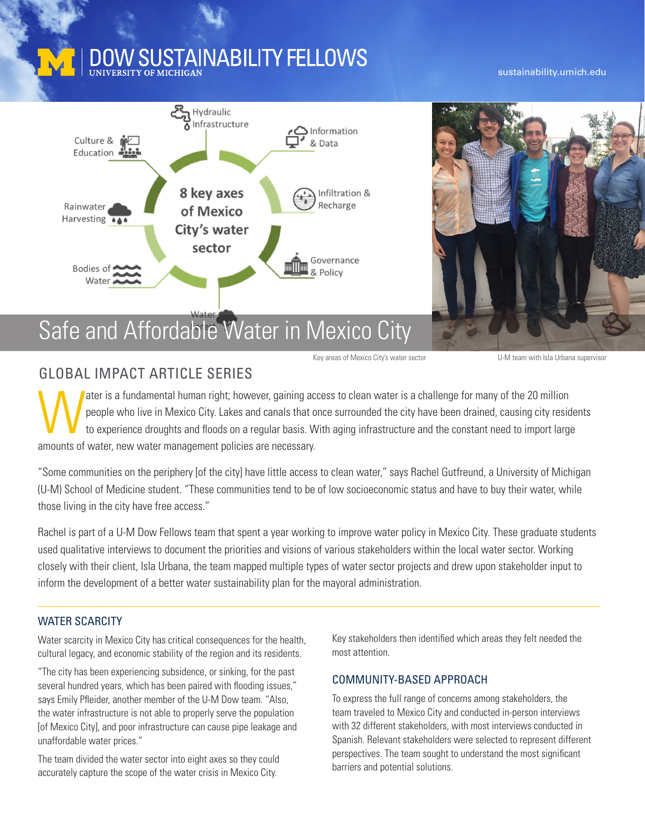# **DOW SUSTAINABILITY FELLOWS**

#### sustainability.umich.edu



Key areas of Mexico City's water sector **Exercise 20 YOM** team with Isla Urbana supervisor

### GLOBAL IMPACT ARTICLE SERIES

The act is a fundamental human right; however, gaining access to clean water is a challenge for many of the 20 million<br>people who live in Mexico City. Lakes and canals that once surrounded the city have been drained, causi people who live in Mexico City. Lakes and canals that once surrounded the city have been drained, causing city residents to experience droughts and floods on a regular basis. With aging infrastructure and the constant need to import large amounts of water, new water management policies are necessary.

"Some communities on the periphery [of the city] have little access to clean water," says Rachel Gutfreund, a University of Michigan (U-M) School of Medicine student. "These communities tend to be of low socioeconomic status and have to buy their water, while those living in the city have free access."

Rachel is part of a U-M Dow Fellows team that spent a year working to improve water policy in Mexico City. These graduate students used qualitative interviews to document the priorities and visions of various stakeholders within the local water sector. Working closely with their client, Isla Urbana, the team mapped multiple types of water sector projects and drew upon stakeholder input to inform the development of a better water sustainability plan for the mayoral administration.

#### WATER SCARCITY

Water scarcity in Mexico City has critical consequences for the health, cultural legacy, and economic stability of the region and its residents.

"The city has been experiencing subsidence, or sinking, for the past several hundred years, which has been paired with flooding issues," says Emily Pfleider, another member of the U-M Dow team. "Also, the water infrastructure is not able to properly serve the population [of Mexico City], and poor infrastructure can cause pipe leakage and unaffordable water prices."

The team divided the water sector into eight axes so they could accurately capture the scope of the water crisis in Mexico City.

Key stakeholders then identified which areas they felt needed the most attention.

#### COMMUNITY-BASED APPROACH

To express the full range of concerns among stakeholders, the team traveled to Mexico City and conducted in-person interviews with 32 different stakeholders, with most interviews conducted in Spanish. Relevant stakeholders were selected to represent different perspectives. The team sought to understand the most significant barriers and potential solutions.